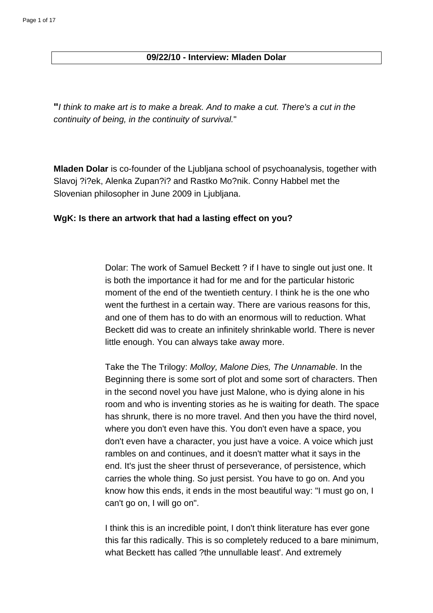## **09/22/10 - Interview: Mladen Dolar**

**"**I think to make art is to make a break. And to make a cut. There's a cut in the continuity of being, in the continuity of survival."

**Mladen Dolar** is co-founder of the Ljubljana school of psychoanalysis, together with Slavoj ?i?ek, Alenka Zupan?i? and Rastko Mo?nik. Conny Habbel met the Slovenian philosopher in June 2009 in Ljubljana.

## **WgK: Is there an artwork that had a lasting effect on you?**

Dolar: The work of Samuel Beckett ? if I have to single out just one. It is both the importance it had for me and for the particular historic moment of the end of the twentieth century. I think he is the one who went the furthest in a certain way. There are various reasons for this, and one of them has to do with an enormous will to reduction. What Beckett did was to create an infinitely shrinkable world. There is never little enough. You can always take away more.

Take the The Trilogy: Molloy, Malone Dies, The Unnamable. In the Beginning there is some sort of plot and some sort of characters. Then in the second novel you have just Malone, who is dying alone in his room and who is inventing stories as he is waiting for death. The space has shrunk, there is no more travel. And then you have the third novel, where you don't even have this. You don't even have a space, you don't even have a character, you just have a voice. A voice which just rambles on and continues, and it doesn't matter what it says in the end. It's just the sheer thrust of perseverance, of persistence, which carries the whole thing. So just persist. You have to go on. And you know how this ends, it ends in the most beautiful way: "I must go on, I can't go on, I will go on".

I think this is an incredible point, I don't think literature has ever gone this far this radically. This is so completely reduced to a bare minimum, what Beckett has called ?the unnullable least'. And extremely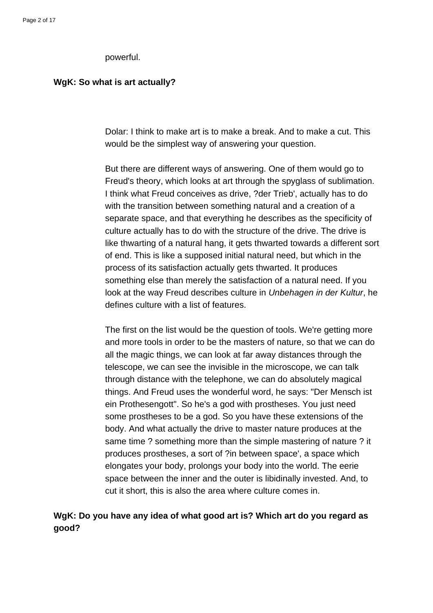#### powerful.

### **WgK: So what is art actually?**

Dolar: I think to make art is to make a break. And to make a cut. This would be the simplest way of answering your question.

But there are different ways of answering. One of them would go to Freud's theory, which looks at art through the spyglass of sublimation. I think what Freud conceives as drive, ?der Trieb', actually has to do with the transition between something natural and a creation of a separate space, and that everything he describes as the specificity of culture actually has to do with the structure of the drive. The drive is like thwarting of a natural hang, it gets thwarted towards a different sort of end. This is like a supposed initial natural need, but which in the process of its satisfaction actually gets thwarted. It produces something else than merely the satisfaction of a natural need. If you look at the way Freud describes culture in Unbehagen in der Kultur, he defines culture with a list of features.

The first on the list would be the question of tools. We're getting more and more tools in order to be the masters of nature, so that we can do all the magic things, we can look at far away distances through the telescope, we can see the invisible in the microscope, we can talk through distance with the telephone, we can do absolutely magical things. And Freud uses the wonderful word, he says: "Der Mensch ist ein Prothesengott". So he's a god with prostheses. You just need some prostheses to be a god. So you have these extensions of the body. And what actually the drive to master nature produces at the same time ? something more than the simple mastering of nature ? it produces prostheses, a sort of ?in between space', a space which elongates your body, prolongs your body into the world. The eerie space between the inner and the outer is libidinally invested. And, to cut it short, this is also the area where culture comes in.

## **WgK: Do you have any idea of what good art is? Which art do you regard as good?**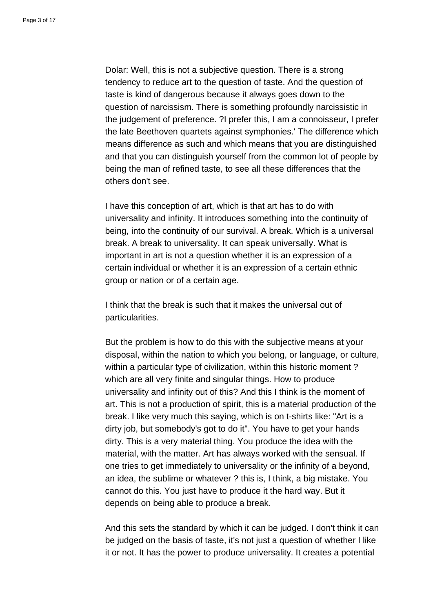Dolar: Well, this is not a subjective question. There is a strong tendency to reduce art to the question of taste. And the question of taste is kind of dangerous because it always goes down to the question of narcissism. There is something profoundly narcissistic in the judgement of preference. ?I prefer this, I am a connoisseur, I prefer the late Beethoven quartets against symphonies.' The difference which means difference as such and which means that you are distinguished and that you can distinguish yourself from the common lot of people by being the man of refined taste, to see all these differences that the others don't see.

I have this conception of art, which is that art has to do with universality and infinity. It introduces something into the continuity of being, into the continuity of our survival. A break. Which is a universal break. A break to universality. It can speak universally. What is important in art is not a question whether it is an expression of a certain individual or whether it is an expression of a certain ethnic group or nation or of a certain age.

I think that the break is such that it makes the universal out of particularities.

But the problem is how to do this with the subjective means at your disposal, within the nation to which you belong, or language, or culture, within a particular type of civilization, within this historic moment ? which are all very finite and singular things. How to produce universality and infinity out of this? And this I think is the moment of art. This is not a production of spirit, this is a material production of the break. I like very much this saying, which is on t-shirts like: "Art is a dirty job, but somebody's got to do it". You have to get your hands dirty. This is a very material thing. You produce the idea with the material, with the matter. Art has always worked with the sensual. If one tries to get immediately to universality or the infinity of a beyond, an idea, the sublime or whatever ? this is, I think, a big mistake. You cannot do this. You just have to produce it the hard way. But it depends on being able to produce a break.

And this sets the standard by which it can be judged. I don't think it can be judged on the basis of taste, it's not just a question of whether I like it or not. It has the power to produce universality. It creates a potential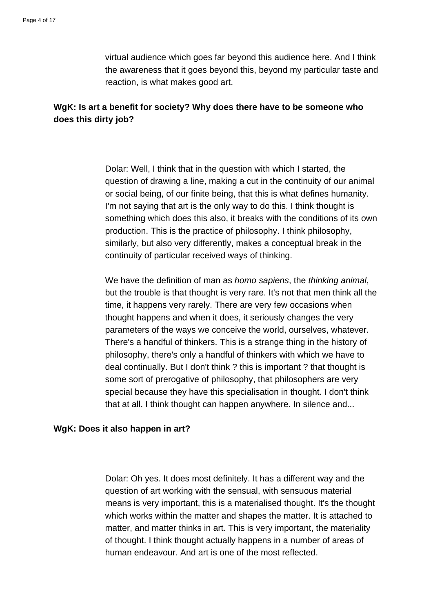virtual audience which goes far beyond this audience here. And I think the awareness that it goes beyond this, beyond my particular taste and reaction, is what makes good art.

# **WgK: Is art a benefit for society? Why does there have to be someone who does this dirty job?**

Dolar: Well, I think that in the question with which I started, the question of drawing a line, making a cut in the continuity of our animal or social being, of our finite being, that this is what defines humanity. I'm not saying that art is the only way to do this. I think thought is something which does this also, it breaks with the conditions of its own production. This is the practice of philosophy. I think philosophy, similarly, but also very differently, makes a conceptual break in the continuity of particular received ways of thinking.

We have the definition of man as *homo sapiens*, the *thinking animal*, but the trouble is that thought is very rare. It's not that men think all the time, it happens very rarely. There are very few occasions when thought happens and when it does, it seriously changes the very parameters of the ways we conceive the world, ourselves, whatever. There's a handful of thinkers. This is a strange thing in the history of philosophy, there's only a handful of thinkers with which we have to deal continually. But I don't think ? this is important ? that thought is some sort of prerogative of philosophy, that philosophers are very special because they have this specialisation in thought. I don't think that at all. I think thought can happen anywhere. In silence and...

### **WgK: Does it also happen in art?**

Dolar: Oh yes. It does most definitely. It has a different way and the question of art working with the sensual, with sensuous material means is very important, this is a materialised thought. It's the thought which works within the matter and shapes the matter. It is attached to matter, and matter thinks in art. This is very important, the materiality of thought. I think thought actually happens in a number of areas of human endeavour. And art is one of the most reflected.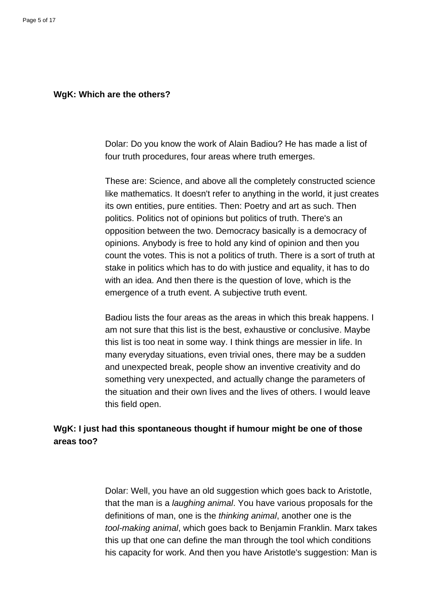### **WgK: Which are the others?**

Dolar: Do you know the work of Alain Badiou? He has made a list of four truth procedures, four areas where truth emerges.

These are: Science, and above all the completely constructed science like mathematics. It doesn't refer to anything in the world, it just creates its own entities, pure entities. Then: Poetry and art as such. Then politics. Politics not of opinions but politics of truth. There's an opposition between the two. Democracy basically is a democracy of opinions. Anybody is free to hold any kind of opinion and then you count the votes. This is not a politics of truth. There is a sort of truth at stake in politics which has to do with justice and equality, it has to do with an idea. And then there is the question of love, which is the emergence of a truth event. A subjective truth event.

Badiou lists the four areas as the areas in which this break happens. I am not sure that this list is the best, exhaustive or conclusive. Maybe this list is too neat in some way. I think things are messier in life. In many everyday situations, even trivial ones, there may be a sudden and unexpected break, people show an inventive creativity and do something very unexpected, and actually change the parameters of the situation and their own lives and the lives of others. I would leave this field open.

# **WgK: I just had this spontaneous thought if humour might be one of those areas too?**

Dolar: Well, you have an old suggestion which goes back to Aristotle, that the man is a laughing animal. You have various proposals for the definitions of man, one is the thinking animal, another one is the tool-making animal, which goes back to Benjamin Franklin. Marx takes this up that one can define the man through the tool which conditions his capacity for work. And then you have Aristotle's suggestion: Man is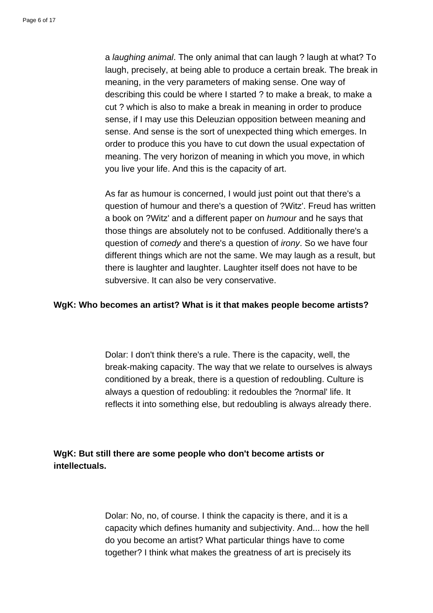a laughing animal. The only animal that can laugh ? laugh at what? To laugh, precisely, at being able to produce a certain break. The break in meaning, in the very parameters of making sense. One way of describing this could be where I started ? to make a break, to make a cut ? which is also to make a break in meaning in order to produce sense, if I may use this Deleuzian opposition between meaning and sense. And sense is the sort of unexpected thing which emerges. In order to produce this you have to cut down the usual expectation of meaning. The very horizon of meaning in which you move, in which you live your life. And this is the capacity of art.

As far as humour is concerned, I would just point out that there's a question of humour and there's a question of ?Witz'. Freud has written a book on ?Witz' and a different paper on humour and he says that those things are absolutely not to be confused. Additionally there's a question of *comedy* and there's a question of *irony*. So we have four different things which are not the same. We may laugh as a result, but there is laughter and laughter. Laughter itself does not have to be subversive. It can also be very conservative.

### **WgK: Who becomes an artist? What is it that makes people become artists?**

Dolar: I don't think there's a rule. There is the capacity, well, the break-making capacity. The way that we relate to ourselves is always conditioned by a break, there is a question of redoubling. Culture is always a question of redoubling: it redoubles the ?normal' life. It reflects it into something else, but redoubling is always already there.

**WgK: But still there are some people who don't become artists or intellectuals.**

> Dolar: No, no, of course. I think the capacity is there, and it is a capacity which defines humanity and subjectivity. And... how the hell do you become an artist? What particular things have to come together? I think what makes the greatness of art is precisely its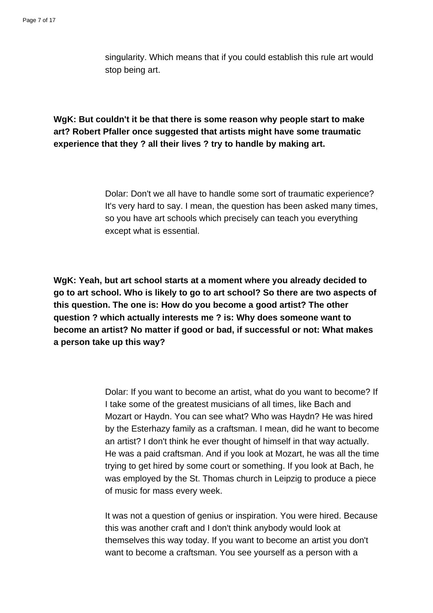singularity. Which means that if you could establish this rule art would stop being art.

# **WgK: But couldn't it be that there is some reason why people start to make art? Robert Pfaller once suggested that artists might have some traumatic experience that they ? all their lives ? try to handle by making art.**

Dolar: Don't we all have to handle some sort of traumatic experience? It's very hard to say. I mean, the question has been asked many times, so you have art schools which precisely can teach you everything except what is essential.

**WgK: Yeah, but art school starts at a moment where you already decided to go to art school. Who is likely to go to art school? So there are two aspects of this question. The one is: How do you become a good artist? The other question ? which actually interests me ? is: Why does someone want to become an artist? No matter if good or bad, if successful or not: What makes a person take up this way?**

> Dolar: If you want to become an artist, what do you want to become? If I take some of the greatest musicians of all times, like Bach and Mozart or Haydn. You can see what? Who was Haydn? He was hired by the Esterhazy family as a craftsman. I mean, did he want to become an artist? I don't think he ever thought of himself in that way actually. He was a paid craftsman. And if you look at Mozart, he was all the time trying to get hired by some court or something. If you look at Bach, he was employed by the St. Thomas church in Leipzig to produce a piece of music for mass every week.

> It was not a question of genius or inspiration. You were hired. Because this was another craft and I don't think anybody would look at themselves this way today. If you want to become an artist you don't want to become a craftsman. You see yourself as a person with a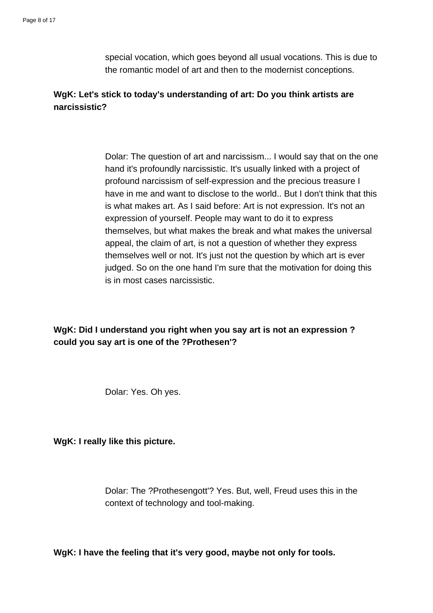special vocation, which goes beyond all usual vocations. This is due to the romantic model of art and then to the modernist conceptions.

# **WgK: Let's stick to today's understanding of art: Do you think artists are narcissistic?**

Dolar: The question of art and narcissism... I would say that on the one hand it's profoundly narcissistic. It's usually linked with a project of profound narcissism of self-expression and the precious treasure I have in me and want to disclose to the world.. But I don't think that this is what makes art. As I said before: Art is not expression. It's not an expression of yourself. People may want to do it to express themselves, but what makes the break and what makes the universal appeal, the claim of art, is not a question of whether they express themselves well or not. It's just not the question by which art is ever judged. So on the one hand I'm sure that the motivation for doing this is in most cases narcissistic.

**WgK: Did I understand you right when you say art is not an expression ? could you say art is one of the ?Prothesen'?**

Dolar: Yes. Oh yes.

**WgK: I really like this picture.**

Dolar: The ?Prothesengott'? Yes. But, well, Freud uses this in the context of technology and tool-making.

**WgK: I have the feeling that it's very good, maybe not only for tools.**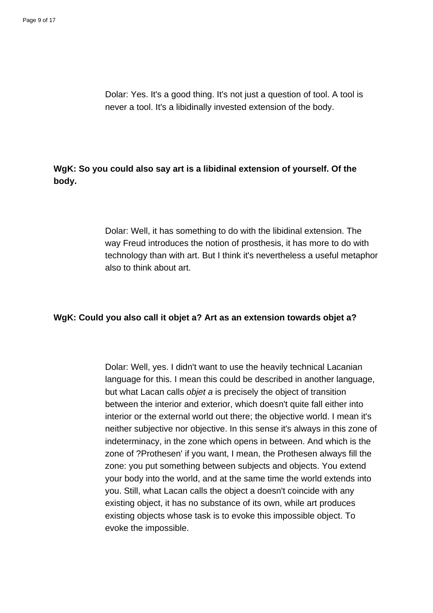Dolar: Yes. It's a good thing. It's not just a question of tool. A tool is never a tool. It's a libidinally invested extension of the body.

**WgK: So you could also say art is a libidinal extension of yourself. Of the body.**

> Dolar: Well, it has something to do with the libidinal extension. The way Freud introduces the notion of prosthesis, it has more to do with technology than with art. But I think it's nevertheless a useful metaphor also to think about art.

### **WgK: Could you also call it objet a? Art as an extension towards objet a?**

Dolar: Well, yes. I didn't want to use the heavily technical Lacanian language for this. I mean this could be described in another language, but what Lacan calls objet a is precisely the object of transition between the interior and exterior, which doesn't quite fall either into interior or the external world out there; the objective world. I mean it's neither subjective nor objective. In this sense it's always in this zone of indeterminacy, in the zone which opens in between. And which is the zone of ?Prothesen' if you want, I mean, the Prothesen always fill the zone: you put something between subjects and objects. You extend your body into the world, and at the same time the world extends into you. Still, what Lacan calls the object a doesn't coincide with any existing object, it has no substance of its own, while art produces existing objects whose task is to evoke this impossible object. To evoke the impossible.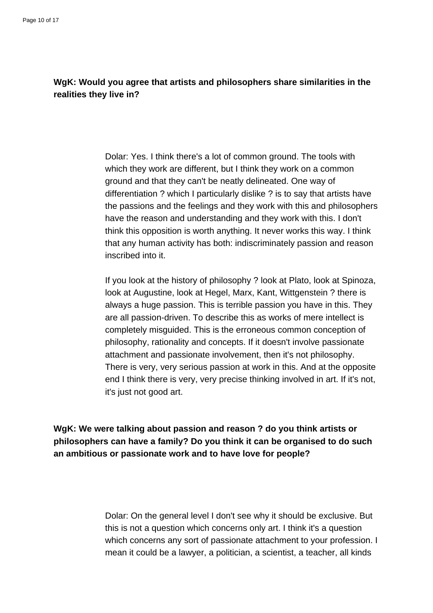# **WgK: Would you agree that artists and philosophers share similarities in the realities they live in?**

Dolar: Yes. I think there's a lot of common ground. The tools with which they work are different, but I think they work on a common ground and that they can't be neatly delineated. One way of differentiation ? which I particularly dislike ? is to say that artists have the passions and the feelings and they work with this and philosophers have the reason and understanding and they work with this. I don't think this opposition is worth anything. It never works this way. I think that any human activity has both: indiscriminately passion and reason inscribed into it.

If you look at the history of philosophy ? look at Plato, look at Spinoza, look at Augustine, look at Hegel, Marx, Kant, Wittgenstein ? there is always a huge passion. This is terrible passion you have in this. They are all passion-driven. To describe this as works of mere intellect is completely misguided. This is the erroneous common conception of philosophy, rationality and concepts. If it doesn't involve passionate attachment and passionate involvement, then it's not philosophy. There is very, very serious passion at work in this. And at the opposite end I think there is very, very precise thinking involved in art. If it's not, it's just not good art.

**WgK: We were talking about passion and reason ? do you think artists or philosophers can have a family? Do you think it can be organised to do such an ambitious or passionate work and to have love for people?**

> Dolar: On the general level I don't see why it should be exclusive. But this is not a question which concerns only art. I think it's a question which concerns any sort of passionate attachment to your profession. I mean it could be a lawyer, a politician, a scientist, a teacher, all kinds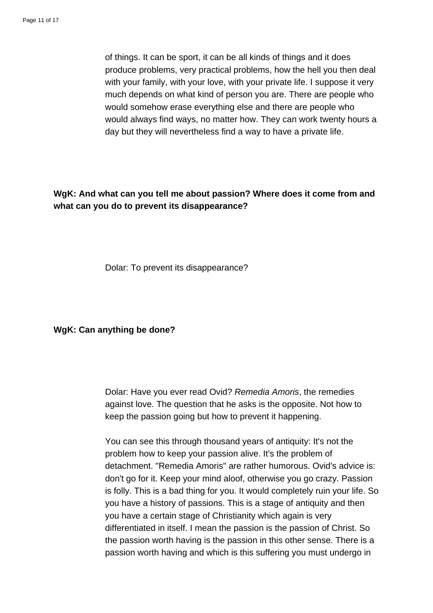of things. It can be sport, it can be all kinds of things and it does produce problems, very practical problems, how the hell you then deal with your family, with your love, with your private life. I suppose it very much depends on what kind of person you are. There are people who would somehow erase everything else and there are people who would always find ways, no matter how. They can work twenty hours a day but they will nevertheless find a way to have a private life.

**WgK: And what can you tell me about passion? Where does it come from and what can you do to prevent its disappearance?**

Dolar: To prevent its disappearance?

**WgK: Can anything be done?**

Dolar: Have you ever read Ovid? Remedia Amoris, the remedies against love. The question that he asks is the opposite. Not how to keep the passion going but how to prevent it happening.

You can see this through thousand years of antiquity: It's not the problem how to keep your passion alive. It's the problem of detachment. "Remedia Amoris" are rather humorous. Ovid's advice is: don't go for it. Keep your mind aloof, otherwise you go crazy. Passion is folly. This is a bad thing for you. It would completely ruin your life. So you have a history of passions. This is a stage of antiquity and then you have a certain stage of Christianity which again is very differentiated in itself. I mean the passion is the passion of Christ. So the passion worth having is the passion in this other sense. There is a passion worth having and which is this suffering you must undergo in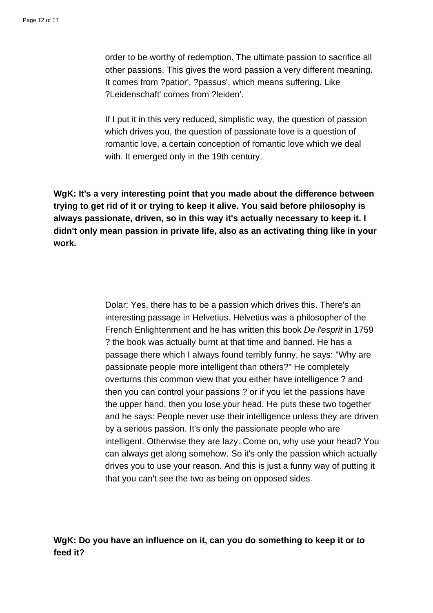order to be worthy of redemption. The ultimate passion to sacrifice all other passions. This gives the word passion a very different meaning. It comes from ?patior', ?passus', which means suffering. Like ?Leidenschaft' comes from ?leiden'.

If I put it in this very reduced, simplistic way, the question of passion which drives you, the question of passionate love is a question of romantic love, a certain conception of romantic love which we deal with. It emerged only in the 19th century.

**WgK: It's a very interesting point that you made about the difference between trying to get rid of it or trying to keep it alive. You said before philosophy is always passionate, driven, so in this way it's actually necessary to keep it. I didn't only mean passion in private life, also as an activating thing like in your work.**

> Dolar: Yes, there has to be a passion which drives this. There's an interesting passage in Helvetius. Helvetius was a philosopher of the French Enlightenment and he has written this book De l'esprit in 1759 ? the book was actually burnt at that time and banned. He has a passage there which I always found terribly funny, he says: "Why are passionate people more intelligent than others?" He completely overturns this common view that you either have intelligence ? and then you can control your passions ? or if you let the passions have the upper hand, then you lose your head. He puts these two together and he says: People never use their intelligence unless they are driven by a serious passion. It's only the passionate people who are intelligent. Otherwise they are lazy. Come on, why use your head? You can always get along somehow. So it's only the passion which actually drives you to use your reason. And this is just a funny way of putting it that you can't see the two as being on opposed sides.

**WgK: Do you have an influence on it, can you do something to keep it or to feed it?**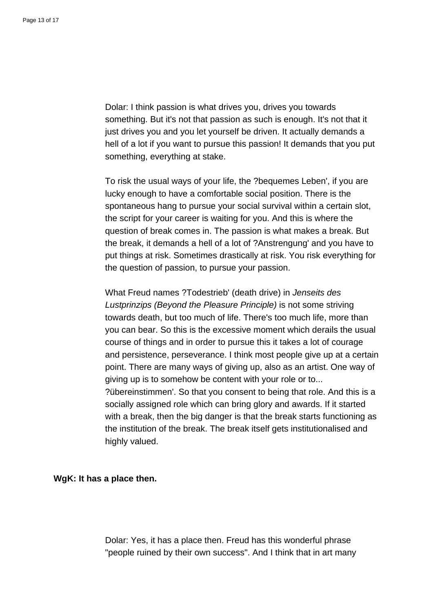Dolar: I think passion is what drives you, drives you towards something. But it's not that passion as such is enough. It's not that it just drives you and you let yourself be driven. It actually demands a hell of a lot if you want to pursue this passion! It demands that you put something, everything at stake.

To risk the usual ways of your life, the ?bequemes Leben', if you are lucky enough to have a comfortable social position. There is the spontaneous hang to pursue your social survival within a certain slot, the script for your career is waiting for you. And this is where the question of break comes in. The passion is what makes a break. But the break, it demands a hell of a lot of ?Anstrengung' and you have to put things at risk. Sometimes drastically at risk. You risk everything for the question of passion, to pursue your passion.

What Freud names ?Todestrieb' (death drive) in Jenseits des Lustprinzips (Beyond the Pleasure Principle) is not some striving towards death, but too much of life. There's too much life, more than you can bear. So this is the excessive moment which derails the usual course of things and in order to pursue this it takes a lot of courage and persistence, perseverance. I think most people give up at a certain point. There are many ways of giving up, also as an artist. One way of giving up is to somehow be content with your role or to... ?übereinstimmen'. So that you consent to being that role. And this is a socially assigned role which can bring glory and awards. If it started with a break, then the big danger is that the break starts functioning as the institution of the break. The break itself gets institutionalised and highly valued.

### **WgK: It has a place then.**

Dolar: Yes, it has a place then. Freud has this wonderful phrase "people ruined by their own success". And I think that in art many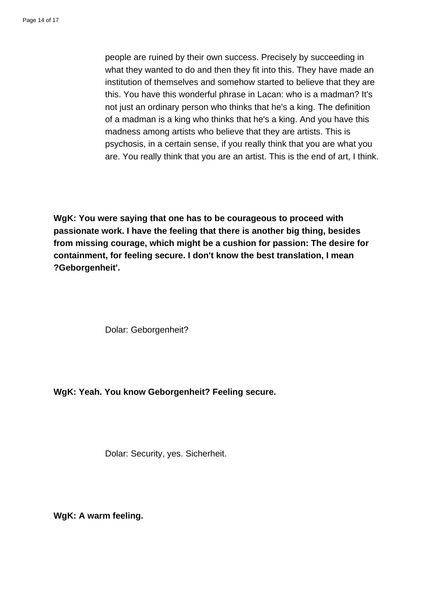people are ruined by their own success. Precisely by succeeding in what they wanted to do and then they fit into this. They have made an institution of themselves and somehow started to believe that they are this. You have this wonderful phrase in Lacan: who is a madman? It's not just an ordinary person who thinks that he's a king. The definition of a madman is a king who thinks that he's a king. And you have this madness among artists who believe that they are artists. This is psychosis, in a certain sense, if you really think that you are what you are. You really think that you are an artist. This is the end of art, I think.

**WgK: You were saying that one has to be courageous to proceed with passionate work. I have the feeling that there is another big thing, besides from missing courage, which might be a cushion for passion: The desire for containment, for feeling secure. I don't know the best translation, I mean ?Geborgenheit'.**

Dolar: Geborgenheit?

**WgK: Yeah. You know Geborgenheit? Feeling secure.**

Dolar: Security, yes. Sicherheit.

**WgK: A warm feeling.**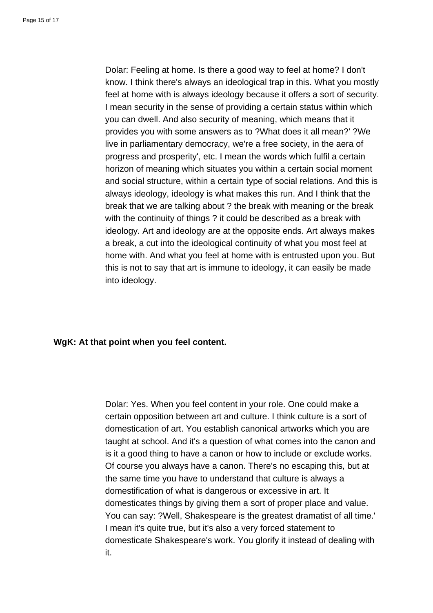Dolar: Feeling at home. Is there a good way to feel at home? I don't know. I think there's always an ideological trap in this. What you mostly feel at home with is always ideology because it offers a sort of security. I mean security in the sense of providing a certain status within which you can dwell. And also security of meaning, which means that it provides you with some answers as to ?What does it all mean?' ?We live in parliamentary democracy, we're a free society, in the aera of progress and prosperity', etc. I mean the words which fulfil a certain horizon of meaning which situates you within a certain social moment and social structure, within a certain type of social relations. And this is always ideology, ideology is what makes this run. And I think that the break that we are talking about ? the break with meaning or the break with the continuity of things ? it could be described as a break with ideology. Art and ideology are at the opposite ends. Art always makes a break, a cut into the ideological continuity of what you most feel at home with. And what you feel at home with is entrusted upon you. But this is not to say that art is immune to ideology, it can easily be made into ideology.

### **WgK: At that point when you feel content.**

Dolar: Yes. When you feel content in your role. One could make a certain opposition between art and culture. I think culture is a sort of domestication of art. You establish canonical artworks which you are taught at school. And it's a question of what comes into the canon and is it a good thing to have a canon or how to include or exclude works. Of course you always have a canon. There's no escaping this, but at the same time you have to understand that culture is always a domestification of what is dangerous or excessive in art. It domesticates things by giving them a sort of proper place and value. You can say: ?Well, Shakespeare is the greatest dramatist of all time.' I mean it's quite true, but it's also a very forced statement to domesticate Shakespeare's work. You glorify it instead of dealing with it.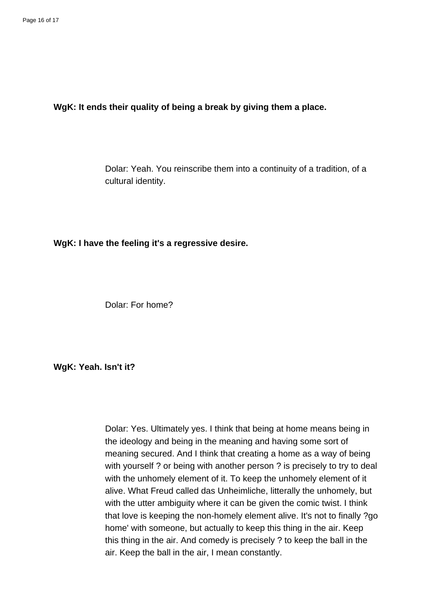### **WgK: It ends their quality of being a break by giving them a place.**

Dolar: Yeah. You reinscribe them into a continuity of a tradition, of a cultural identity.

**WgK: I have the feeling it's a regressive desire.**

Dolar: For home?

### **WgK: Yeah. Isn't it?**

Dolar: Yes. Ultimately yes. I think that being at home means being in the ideology and being in the meaning and having some sort of meaning secured. And I think that creating a home as a way of being with yourself ? or being with another person ? is precisely to try to deal with the unhomely element of it. To keep the unhomely element of it alive. What Freud called das Unheimliche, litterally the unhomely, but with the utter ambiguity where it can be given the comic twist. I think that love is keeping the non-homely element alive. It's not to finally ?go home' with someone, but actually to keep this thing in the air. Keep this thing in the air. And comedy is precisely ? to keep the ball in the air. Keep the ball in the air, I mean constantly.